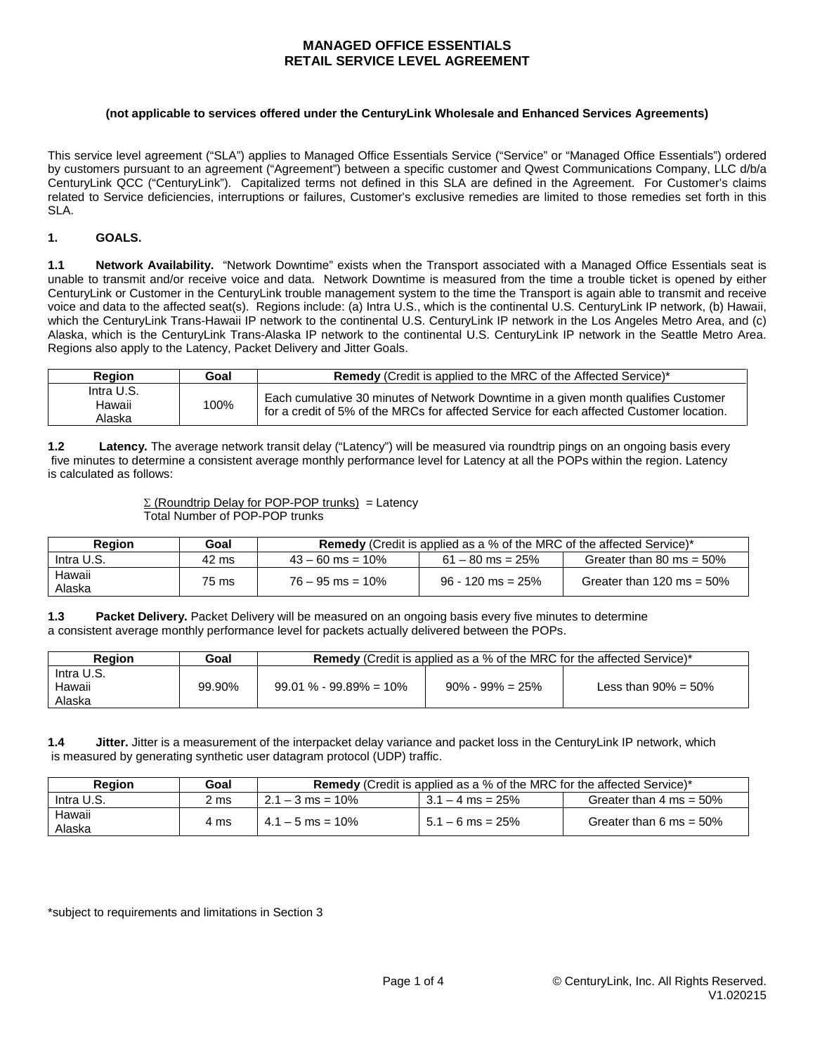#### **(not applicable to services offered under the CenturyLink Wholesale and Enhanced Services Agreements)**

This service level agreement ("SLA") applies to Managed Office Essentials Service ("Service" or "Managed Office Essentials") ordered by customers pursuant to an agreement ("Agreement") between a specific customer and Qwest Communications Company, LLC d/b/a CenturyLink QCC ("CenturyLink"). Capitalized terms not defined in this SLA are defined in the Agreement. For Customer's claims related to Service deficiencies, interruptions or failures, Customer's exclusive remedies are limited to those remedies set forth in this SLA.

### **1. GOALS.**

**1.1 Network Availability.** "Network Downtime" exists when the Transport associated with a Managed Office Essentials seat is unable to transmit and/or receive voice and data. Network Downtime is measured from the time a trouble ticket is opened by either CenturyLink or Customer in the CenturyLink trouble management system to the time the Transport is again able to transmit and receive voice and data to the affected seat(s). Regions include: (a) Intra U.S., which is the continental U.S. CenturyLink IP network, (b) Hawaii, which the CenturyLink Trans-Hawaii IP network to the continental U.S. CenturyLink IP network in the Los Angeles Metro Area, and (c) Alaska, which is the CenturyLink Trans-Alaska IP network to the continental U.S. CenturyLink IP network in the Seattle Metro Area. Regions also apply to the Latency, Packet Delivery and Jitter Goals.

| Region                         | Goal | Remedy (Credit is applied to the MRC of the Affected Service)*                                                                                                                 |  |
|--------------------------------|------|--------------------------------------------------------------------------------------------------------------------------------------------------------------------------------|--|
| Intra U.S.<br>Hawaii<br>Alaska | 100% | Each cumulative 30 minutes of Network Downtime in a given month qualifies Customer<br>for a credit of 5% of the MRCs for affected Service for each affected Customer location. |  |

**1.2 Latency.** The average network transit delay ("Latency") will be measured via roundtrip pings on an ongoing basis every five minutes to determine a consistent average monthly performance level for Latency at all the POPs within the region. Latency is calculated as follows:

> Σ (Roundtrip Delay for POP-POP trunks) = Latency Total Number of POP-POP trunks

| Region           | Goal  | <b>Remedy</b> (Credit is applied as a % of the MRC of the affected Service)* |                     |                              |  |
|------------------|-------|------------------------------------------------------------------------------|---------------------|------------------------------|--|
| Intra U.S.       | 42 ms | $43 - 60$ ms = 10%                                                           | $61 - 80$ ms = 25%  | Greater than 80 ms = $50\%$  |  |
| Hawaii<br>Alaska | 75 ms | $76 - 95$ ms = 10%                                                           | $96 - 120$ ms = 25% | Greater than 120 ms = $50\%$ |  |

**1.3** Packet Delivery. Packet Delivery will be measured on an ongoing basis every five minutes to determine a consistent average monthly performance level for packets actually delivered between the POPs.

| <b>Region</b>                  | Goal   | <b>Remedy</b> (Credit is applied as a % of the MRC for the affected Service)* |                      |                         |  |
|--------------------------------|--------|-------------------------------------------------------------------------------|----------------------|-------------------------|--|
| Intra U.S.<br>Hawaii<br>Alaska | 99.90% | $99.01\% - 99.89\% = 10\%$                                                    | $90\% - 99\% = 25\%$ | Less than $90\% = 50\%$ |  |

**1.4 Jitter.** Jitter is a measurement of the interpacket delay variance and packet loss in the CenturyLink IP network, which is measured by generating synthetic user datagram protocol (UDP) traffic.

| Region           | Goal | <b>Remedy</b> (Credit is applied as a % of the MRC for the affected Service)* |                    |                                    |  |
|------------------|------|-------------------------------------------------------------------------------|--------------------|------------------------------------|--|
| Intra U.S.       | 2 ms | $2.1 - 3$ ms = 10%                                                            | $3.1 - 4$ ms = 25% | Greater than $4 \text{ ms} = 50\%$ |  |
| Hawaii<br>Alaska | 4 ms | $4.1 - 5$ ms = 10%                                                            | $5.1 - 6$ ms = 25% | Greater than 6 ms = $50\%$         |  |

\*subject to requirements and limitations in Section 3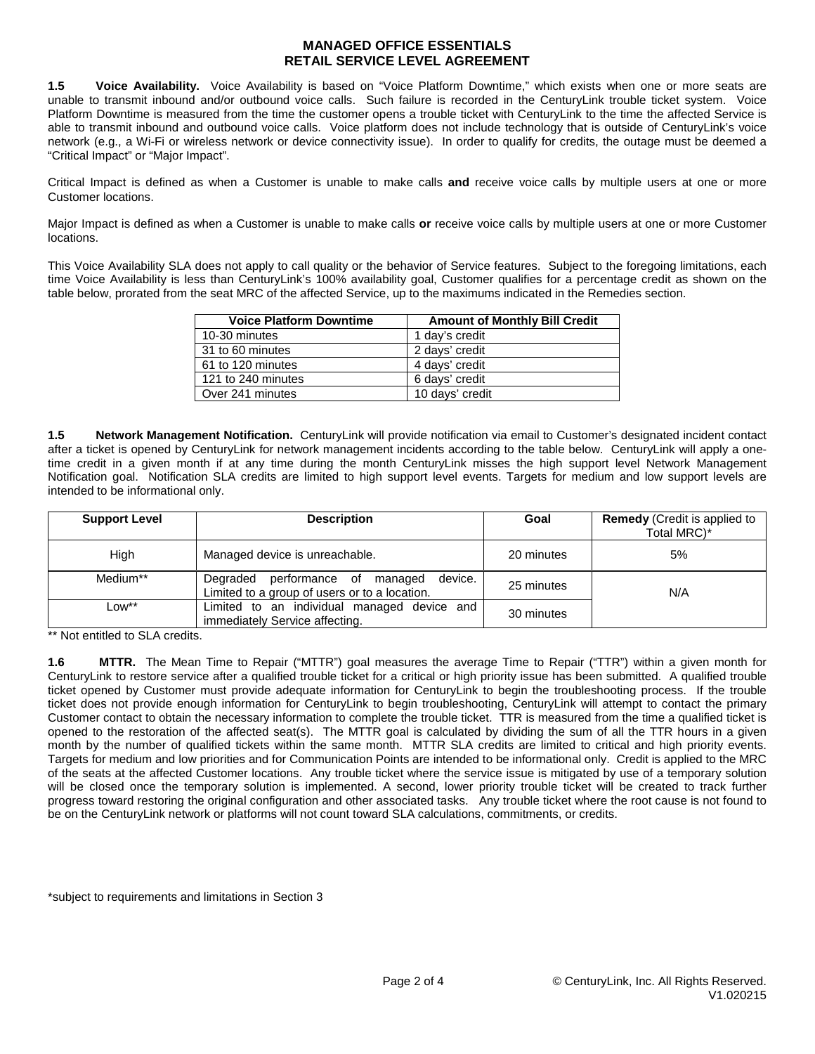**1.5 Voice Availability.** Voice Availability is based on "Voice Platform Downtime," which exists when one or more seats are unable to transmit inbound and/or outbound voice calls. Such failure is recorded in the CenturyLink trouble ticket system. Voice Platform Downtime is measured from the time the customer opens a trouble ticket with CenturyLink to the time the affected Service is able to transmit inbound and outbound voice calls. Voice platform does not include technology that is outside of CenturyLink's voice network (e.g., a Wi-Fi or wireless network or device connectivity issue). In order to qualify for credits, the outage must be deemed a "Critical Impact" or "Major Impact".

Critical Impact is defined as when a Customer is unable to make calls **and** receive voice calls by multiple users at one or more Customer locations.

Major Impact is defined as when a Customer is unable to make calls **or** receive voice calls by multiple users at one or more Customer locations.

This Voice Availability SLA does not apply to call quality or the behavior of Service features. Subject to the foregoing limitations, each time Voice Availability is less than CenturyLink's 100% availability goal, Customer qualifies for a percentage credit as shown on the table below, prorated from the seat MRC of the affected Service, up to the maximums indicated in the Remedies section.

| <b>Voice Platform Downtime</b> | <b>Amount of Monthly Bill Credit</b> |
|--------------------------------|--------------------------------------|
| 10-30 minutes                  | 1 day's credit                       |
| 31 to 60 minutes               | 2 days' credit                       |
| 61 to 120 minutes              | 4 days' credit                       |
| 121 to 240 minutes             | 6 days' credit                       |
| Over 241 minutes               | 10 days' credit                      |

**1.5 Network Management Notification.** CenturyLink will provide notification via email to Customer's designated incident contact after a ticket is opened by CenturyLink for network management incidents according to the table below. CenturyLink will apply a onetime credit in a given month if at any time during the month CenturyLink misses the high support level Network Management Notification goal. Notification SLA credits are limited to high support level events. Targets for medium and low support levels are intended to be informational only.

| <b>Support Level</b> | <b>Description</b>                                                                          | Goal       | <b>Remedy</b> (Credit is applied to<br>Total MRC)* |
|----------------------|---------------------------------------------------------------------------------------------|------------|----------------------------------------------------|
| High                 | Managed device is unreachable.                                                              | 20 minutes | 5%                                                 |
| Medium**             | device.<br>Degraded performance of managed<br>Limited to a group of users or to a location. | 25 minutes | N/A                                                |
| Low**                | Limited to an individual managed device and<br>immediately Service affecting.               | 30 minutes |                                                    |

\*\* Not entitled to SLA credits.

**1.6 MTTR.** The Mean Time to Repair ("MTTR") goal measures the average Time to Repair ("TTR") within a given month for CenturyLink to restore service after a qualified trouble ticket for a critical or high priority issue has been submitted. A qualified trouble ticket opened by Customer must provide adequate information for CenturyLink to begin the troubleshooting process. If the trouble ticket does not provide enough information for CenturyLink to begin troubleshooting, CenturyLink will attempt to contact the primary Customer contact to obtain the necessary information to complete the trouble ticket. TTR is measured from the time a qualified ticket is opened to the restoration of the affected seat(s). The MTTR goal is calculated by dividing the sum of all the TTR hours in a given month by the number of qualified tickets within the same month. MTTR SLA credits are limited to critical and high priority events. Targets for medium and low priorities and for Communication Points are intended to be informational only. Credit is applied to the MRC of the seats at the affected Customer locations. Any trouble ticket where the service issue is mitigated by use of a temporary solution will be closed once the temporary solution is implemented. A second, lower priority trouble ticket will be created to track further progress toward restoring the original configuration and other associated tasks. Any trouble ticket where the root cause is not found to be on the CenturyLink network or platforms will not count toward SLA calculations, commitments, or credits.

\*subject to requirements and limitations in Section 3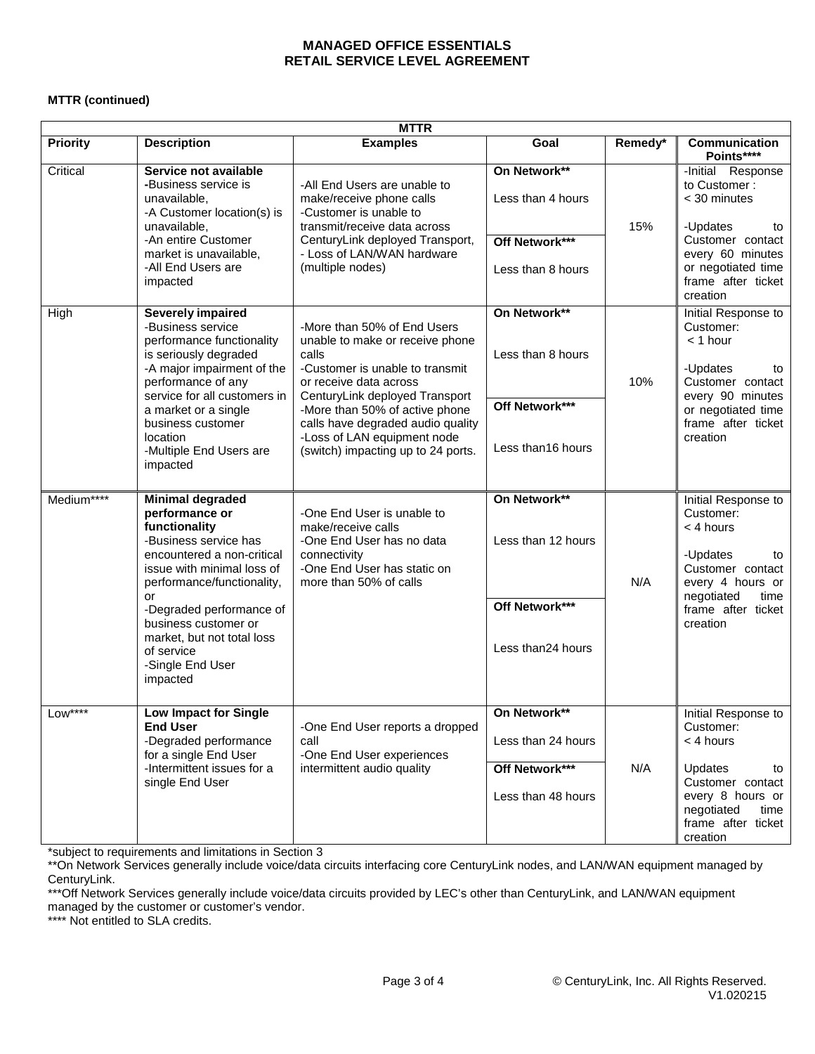# **MTTR (continued)**

| <b>MTTR</b>     |                                                                                                                                                                                                                                                                                                                     |                                                                                                                                                                                                                                                                                                                    |                                                                            |         |                                                                                                                                                                     |
|-----------------|---------------------------------------------------------------------------------------------------------------------------------------------------------------------------------------------------------------------------------------------------------------------------------------------------------------------|--------------------------------------------------------------------------------------------------------------------------------------------------------------------------------------------------------------------------------------------------------------------------------------------------------------------|----------------------------------------------------------------------------|---------|---------------------------------------------------------------------------------------------------------------------------------------------------------------------|
| <b>Priority</b> | <b>Description</b>                                                                                                                                                                                                                                                                                                  | <b>Examples</b>                                                                                                                                                                                                                                                                                                    | Goal                                                                       | Remedy* | <b>Communication</b><br>Points****                                                                                                                                  |
| Critical        | Service not available<br>-Business service is<br>unavailable,<br>-A Customer location(s) is<br>unavailable,<br>-An entire Customer<br>market is unavailable,<br>-All End Users are<br>impacted                                                                                                                      | -All End Users are unable to<br>make/receive phone calls<br>-Customer is unable to<br>transmit/receive data across<br>CenturyLink deployed Transport,<br>- Loss of LAN/WAN hardware<br>(multiple nodes)                                                                                                            | On Network**<br>Less than 4 hours<br>Off Network***<br>Less than 8 hours   | 15%     | -Initial Response<br>to Customer:<br>< 30 minutes<br>-Updates<br>to<br>Customer contact<br>every 60 minutes<br>or negotiated time<br>frame after ticket<br>creation |
| High            | <b>Severely impaired</b><br>-Business service<br>performance functionality<br>is seriously degraded<br>-A major impairment of the<br>performance of any<br>service for all customers in<br>a market or a single<br>business customer<br>location<br>-Multiple End Users are<br>impacted                             | -More than 50% of End Users<br>unable to make or receive phone<br>calls<br>-Customer is unable to transmit<br>or receive data across<br>CenturyLink deployed Transport<br>-More than 50% of active phone<br>calls have degraded audio quality<br>-Loss of LAN equipment node<br>(switch) impacting up to 24 ports. | On Network**<br>Less than 8 hours<br>Off Network***<br>Less than16 hours   | 10%     | Initial Response to<br>Customer:<br>$<$ 1 hour<br>-Updates<br>to<br>Customer contact<br>every 90 minutes<br>or negotiated time<br>frame after ticket<br>creation    |
| Medium****      | <b>Minimal degraded</b><br>performance or<br>functionality<br>-Business service has<br>encountered a non-critical<br>issue with minimal loss of<br>performance/functionality,<br>or<br>-Degraded performance of<br>business customer or<br>market, but not total loss<br>of service<br>-Single End User<br>impacted | -One End User is unable to<br>make/receive calls<br>-One End User has no data<br>connectivity<br>-One End User has static on<br>more than 50% of calls                                                                                                                                                             | On Network**<br>Less than 12 hours<br>Off Network***<br>Less than24 hours  | N/A     | Initial Response to<br>Customer:<br>< 4 hours<br>-Updates<br>to<br>Customer contact<br>every 4 hours or<br>negotiated<br>time<br>frame after ticket<br>creation     |
| $Low***$        | <b>Low Impact for Single</b><br><b>End User</b><br>-Degraded performance<br>for a single End User<br>-Intermittent issues for a<br>single End User                                                                                                                                                                  | -One End User reports a dropped<br>call<br>-One End User experiences<br>intermittent audio quality                                                                                                                                                                                                                 | On Network**<br>Less than 24 hours<br>Off Network***<br>Less than 48 hours | N/A     | Initial Response to<br>Customer:<br>$<$ 4 hours<br>Updates<br>to<br>Customer contact<br>every 8 hours or<br>negotiated<br>time<br>frame after ticket<br>creation    |

\*subject to requirements and limitations in Section 3

\*\*On Network Services generally include voice/data circuits interfacing core CenturyLink nodes, and LAN/WAN equipment managed by CenturyLink.

\*\*\*Off Network Services generally include voice/data circuits provided by LEC's other than CenturyLink, and LAN/WAN equipment managed by the customer or customer's vendor. managed by the customer or customer's vendor.<br>\*\*\*\* Not entitled to SLA credits.